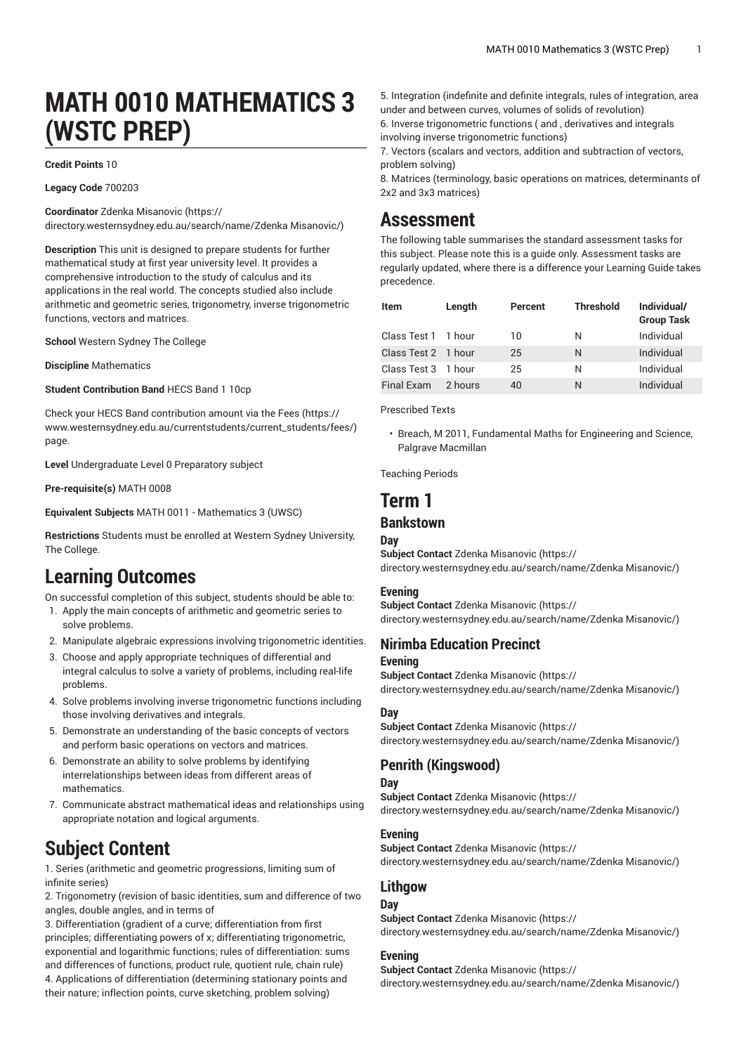# **MATH 0010 MATHEMATICS 3 (WSTC PREP)**

#### **Credit Points** 10

**Legacy Code** 700203

**Coordinator** Zdenka [Misanovic \(https://](https://directory.westernsydney.edu.au/search/name/Zdenka Misanovic/) [directory.westernsydney.edu.au/search/name/Zdenka](https://directory.westernsydney.edu.au/search/name/Zdenka Misanovic/) Misanovic/)

**Description** This unit is designed to prepare students for further mathematical study at first year university level. It provides a comprehensive introduction to the study of calculus and its applications in the real world. The concepts studied also include arithmetic and geometric series, trigonometry, inverse trigonometric functions, vectors and matrices.

**School** Western Sydney The College

**Discipline** Mathematics

**Student Contribution Band** HECS Band 1 10cp

Check your HECS Band contribution amount via the [Fees \(https://](https://www.westernsydney.edu.au/currentstudents/current_students/fees/) [www.westernsydney.edu.au/currentstudents/current\\_students/fees/\)](https://www.westernsydney.edu.au/currentstudents/current_students/fees/) page.

**Level** Undergraduate Level 0 Preparatory subject

**Pre-requisite(s)** [MATH](/search/?P=MATH%200008) 0008

**Equivalent Subjects** [MATH](/search/?P=MATH%200011) 0011 - Mathematics 3 (UWSC)

**Restrictions** Students must be enrolled at Western Sydney University, The College.

# **Learning Outcomes**

On successful completion of this subject, students should be able to:

- 1. Apply the main concepts of arithmetic and geometric series to solve problems.
- 2. Manipulate algebraic expressions involving trigonometric identities.
- 3. Choose and apply appropriate techniques of differential and integral calculus to solve a variety of problems, including real-life problems.
- 4. Solve problems involving inverse trigonometric functions including those involving derivatives and integrals.
- 5. Demonstrate an understanding of the basic concepts of vectors and perform basic operations on vectors and matrices.
- 6. Demonstrate an ability to solve problems by identifying interrelationships between ideas from different areas of mathematics.
- 7. Communicate abstract mathematical ideas and relationships using appropriate notation and logical arguments.

# **Subject Content**

1. Series (arithmetic and geometric progressions, limiting sum of infinite series)

2. Trigonometry (revision of basic identities, sum and difference of two angles, double angles, and in terms of

3. Differentiation (gradient of a curve; differentiation from first principles; differentiating powers of x; differentiating trigonometric, exponential and logarithmic functions; rules of differentiation: sums and differences of functions, product rule, quotient rule, chain rule) 4. Applications of differentiation (determining stationary points and their nature; inflection points, curve sketching, problem solving)

5. Integration (indefinite and definite integrals, rules of integration, area under and between curves, volumes of solids of revolution) 6. Inverse trigonometric functions ( and , derivatives and integrals involving inverse trigonometric functions)

7. Vectors (scalars and vectors, addition and subtraction of vectors, problem solving)

8. Matrices (terminology, basic operations on matrices, determinants of 2x2 and 3x3 matrices)

### **Assessment**

The following table summarises the standard assessment tasks for this subject. Please note this is a guide only. Assessment tasks are regularly updated, where there is a difference your Learning Guide takes precedence.

| <b>Item</b>         | Length  | Percent | <b>Threshold</b> | Individual/<br><b>Group Task</b> |
|---------------------|---------|---------|------------------|----------------------------------|
| Class Test 1 1 hour |         | 10      | Ν                | Individual                       |
| Class Test 2 1 hour |         | 25      | N                | Individual                       |
| Class Test 3 1 hour |         | 25      | Ν                | Individual                       |
| Final Exam          | 2 hours | 40      | N                | Individual                       |

Prescribed Texts

• Breach, M 2011, Fundamental Maths for Engineering and Science, Palgrave Macmillan

Teaching Periods

### **Term 1**

#### **Bankstown**

#### **Day**

**Subject Contact** Zdenka [Misanovic](https://directory.westernsydney.edu.au/search/name/Zdenka Misanovic/) ([https://](https://directory.westernsydney.edu.au/search/name/Zdenka Misanovic/) [directory.westernsydney.edu.au/search/name/Zdenka](https://directory.westernsydney.edu.au/search/name/Zdenka Misanovic/) Misanovic/)

#### **Evening**

**Subject Contact** Zdenka [Misanovic](https://directory.westernsydney.edu.au/search/name/Zdenka Misanovic/) ([https://](https://directory.westernsydney.edu.au/search/name/Zdenka Misanovic/) [directory.westernsydney.edu.au/search/name/Zdenka](https://directory.westernsydney.edu.au/search/name/Zdenka Misanovic/) Misanovic/)

#### **Nirimba Education Precinct Evening**

**Subject Contact** Zdenka [Misanovic](https://directory.westernsydney.edu.au/search/name/Zdenka Misanovic/) ([https://](https://directory.westernsydney.edu.au/search/name/Zdenka Misanovic/) [directory.westernsydney.edu.au/search/name/Zdenka](https://directory.westernsydney.edu.au/search/name/Zdenka Misanovic/) Misanovic/)

#### **Day**

**Subject Contact** Zdenka [Misanovic](https://directory.westernsydney.edu.au/search/name/Zdenka Misanovic/) ([https://](https://directory.westernsydney.edu.au/search/name/Zdenka Misanovic/) [directory.westernsydney.edu.au/search/name/Zdenka](https://directory.westernsydney.edu.au/search/name/Zdenka Misanovic/) Misanovic/)

#### **Penrith (Kingswood)**

**Day**

**Subject Contact** Zdenka [Misanovic](https://directory.westernsydney.edu.au/search/name/Zdenka Misanovic/) ([https://](https://directory.westernsydney.edu.au/search/name/Zdenka Misanovic/) [directory.westernsydney.edu.au/search/name/Zdenka](https://directory.westernsydney.edu.au/search/name/Zdenka Misanovic/) Misanovic/)

#### **Evening**

**Subject Contact** Zdenka [Misanovic](https://directory.westernsydney.edu.au/search/name/Zdenka Misanovic/) ([https://](https://directory.westernsydney.edu.au/search/name/Zdenka Misanovic/) [directory.westernsydney.edu.au/search/name/Zdenka](https://directory.westernsydney.edu.au/search/name/Zdenka Misanovic/) Misanovic/)

#### **Lithgow**

#### **Day**

**Subject Contact** Zdenka [Misanovic](https://directory.westernsydney.edu.au/search/name/Zdenka Misanovic/) ([https://](https://directory.westernsydney.edu.au/search/name/Zdenka Misanovic/) [directory.westernsydney.edu.au/search/name/Zdenka](https://directory.westernsydney.edu.au/search/name/Zdenka Misanovic/) Misanovic/)

#### **Evening**

**Subject Contact** Zdenka [Misanovic](https://directory.westernsydney.edu.au/search/name/Zdenka Misanovic/) ([https://](https://directory.westernsydney.edu.au/search/name/Zdenka Misanovic/) [directory.westernsydney.edu.au/search/name/Zdenka](https://directory.westernsydney.edu.au/search/name/Zdenka Misanovic/) Misanovic/)